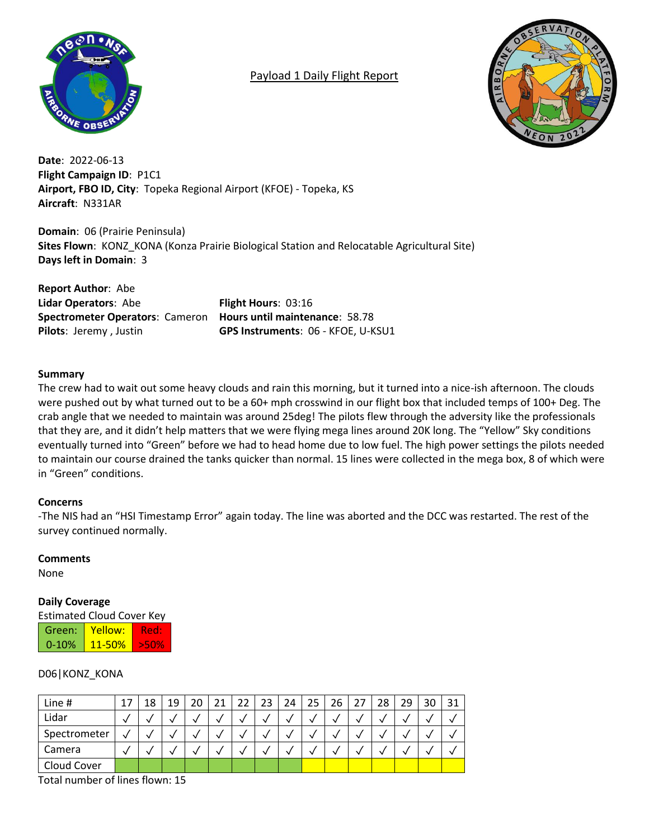

# Payload 1 Daily Flight Report



**Date**: 2022-06-13 **Flight Campaign ID**: P1C1 **Airport, FBO ID, City**: Topeka Regional Airport (KFOE) - Topeka, KS **Aircraft**: N331AR

**Domain**: 06 (Prairie Peninsula) **Sites Flown**: KONZ\_KONA (Konza Prairie Biological Station and Relocatable Agricultural Site) **Days left in Domain**: 3

**Report Author**: Abe **Lidar Operators**: Abe **Flight Hours**: 03:16 **Spectrometer Operators**: Cameron **Hours until maintenance**: 58.78

**Pilots**: Jeremy , Justin **GPS Instruments**: 06 - KFOE, U-KSU1

# **Summary**

The crew had to wait out some heavy clouds and rain this morning, but it turned into a nice-ish afternoon. The clouds were pushed out by what turned out to be a 60+ mph crosswind in our flight box that included temps of 100+ Deg. The crab angle that we needed to maintain was around 25deg! The pilots flew through the adversity like the professionals that they are, and it didn't help matters that we were flying mega lines around 20K long. The "Yellow" Sky conditions eventually turned into "Green" before we had to head home due to low fuel. The high power settings the pilots needed to maintain our course drained the tanks quicker than normal. 15 lines were collected in the mega box, 8 of which were in "Green" conditions.

#### **Concerns**

-The NIS had an "HSI Timestamp Error" again today. The line was aborted and the DCC was restarted. The rest of the survey continued normally.

#### **Comments**

None

# **Daily Coverage**

Estimated Cloud Cover Key

| Green:    | Yellow:         | ÆEUF                                |  |  |  |
|-----------|-----------------|-------------------------------------|--|--|--|
| $0 - 10%$ | <u> 11-50% </u> | $\blacktriangledown$ $\blacksquare$ |  |  |  |

# D06|KONZ\_KONA

| Line #       | 18 | 19 | 21 | 22 | 23 | 24 | 25 | 26 | 27 | 28 | 29 | 30 | 31 |
|--------------|----|----|----|----|----|----|----|----|----|----|----|----|----|
| Lidar        |    |    |    |    |    |    |    |    |    |    |    |    |    |
| Spectrometer |    |    |    |    |    |    |    |    |    | v  |    |    |    |
| Camera       |    |    |    |    |    |    |    |    |    | v  |    |    |    |
| Cloud Cover  |    |    |    |    |    |    |    |    |    |    |    |    |    |

Total number of lines flown: 15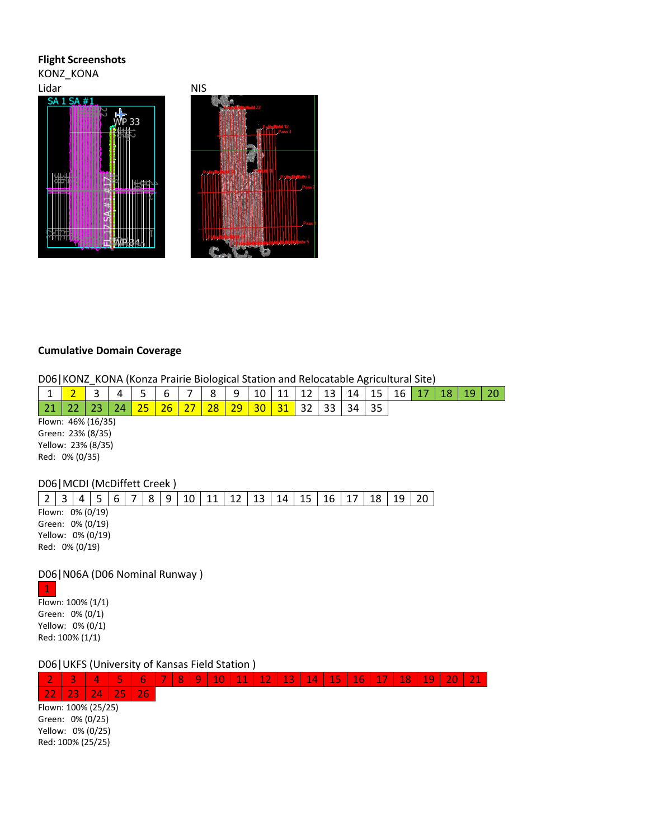## **Flight Screenshots**

KONZ\_KONA





# **Cumulative Domain Coverage**

D06|KONZ\_KONA (Konza Prairie Biological Station and Relocatable Agricultural Site)

| --             | $\sim$<br>$\sim$ | ٠           | -         | ╭<br>h           | –      | $\circ$<br>٥ | a        | 10 | -- | 13.<br>ᅩ | 14<br>ᆠᅮ | 15<br><b></b> | 16 | . . | ŦΟ |  |
|----------------|------------------|-------------|-----------|------------------|--------|--------------|----------|----|----|----------|----------|---------------|----|-----|----|--|
| $\sim$ 4<br>-4 |                  |             | ۹в.<br>-- | วค<br><u>. .</u> | $\sim$ | o<br>zō      | סי<br>-- | 30 | ັ  | つつ<br>ັ  | 34       | マ<br>--       |    |     |    |  |
| Flown:         |                  | 46% (16/35) |           |                  |        |              |          |    |    |          |          |               |    |     |    |  |

Green: 23% (8/35) Yellow: 23% (8/35) Red: 0% (0/35)

### D06|MCDI (McDiffett Creek )

|                   |  |  | 8 | 9 | 10 | 11 | 12 | 13 | 14 | 15 | 16 | 18 | 19 |  |
|-------------------|--|--|---|---|----|----|----|----|----|----|----|----|----|--|
| Flown: 0% (0/19)  |  |  |   |   |    |    |    |    |    |    |    |    |    |  |
| Green: 0% (0/19)  |  |  |   |   |    |    |    |    |    |    |    |    |    |  |
| Yellow: 0% (0/19) |  |  |   |   |    |    |    |    |    |    |    |    |    |  |
| Red: 0% (0/19)    |  |  |   |   |    |    |    |    |    |    |    |    |    |  |

D06|N06A (D06 Nominal Runway )

1 Flown: 100% (1/1) Green: 0% (0/1) Yellow: 0% (0/1) Red: 100% (1/1)

D06|UKFS (University of Kansas Field Station )

2 3 4 5 6 7 8 9 10 11 12 13 14 15 16 17 18 19 20 21 22 23 24 25 26 Flown: 100% (25/25) Green: 0% (0/25) Yellow: 0% (0/25) Red: 100% (25/25)